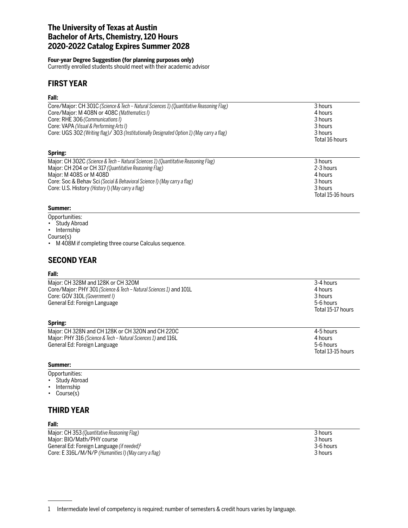## **The University of Texas at Austin Bachelor of Arts, Chemistry, 120 Hours 2020-2022 Catalog Expires Summer 2028**

### **Four-year Degree Suggestion (for planning purposes only)**

Currently enrolled students should meet with their academic advisor

# **FIRST YEAR**

## **Fall:**

| Core/Major: CH 301C (Science & Tech – Natural Sciences 1) (Quantitative Reasoning Flag)    | 3 hours        |
|--------------------------------------------------------------------------------------------|----------------|
| Core/Major: M 408N or 408C (Mathematics I)                                                 | 4 hours        |
| Core: RHE 306 (Communications I)                                                           | 3 hours        |
| Core: VAPA (Visual & Performing Arts I)                                                    | 3 hours        |
| Core: UGS 302 (Writing flag)/ 303 (Institutionally Designated Option 1) (May carry a flag) | 3 hours        |
|                                                                                            | Total 16 hours |
| Spring:                                                                                    |                |
| Major: CH 302C (Science & Tech – Natural Sciences 1) (Quantitative Reasoning Flag)         | 3 hours        |
| Maior: CH 204 or CH 317 (Quantitative Reasoning Flag)                                      | 2-3 hours      |

| <b>Major: OFF SOLO</b> (Science & Tech Analytia Sciences 1) (Quantitudine Reasoning Fig.) | J HUUI J          |
|-------------------------------------------------------------------------------------------|-------------------|
| Major: CH 204 or CH 317 (Quantitative Reasoning Flag)                                     | 2-3 hours         |
| Maior: M 408S or M 408D                                                                   | 4 hours           |
| Core: Soc & Behav Sci (Social & Behavioral Science I) (May carry a flag)                  | 3 hours           |
| Core: U.S. History (History I) (May carry a flag)                                         | 3 hours           |
|                                                                                           | Total 15-16 hours |

## **Summer:**

- Opportunities:
- Study Abroad
- Internship

Course(s)

• M 408M if completing three course Calculus sequence.

# **SECOND YEAR**

## **Fall:**

| .<br>.<br>1.01140011<br>$\sim$<br>$\sim$                                                                                                                                  | $\cdot$ $\cdot$ $\cdot$                                           |
|---------------------------------------------------------------------------------------------------------------------------------------------------------------------------|-------------------------------------------------------------------|
| Spring:                                                                                                                                                                   |                                                                   |
| Major: CH 328M and 128K or CH 320M<br>Core/Major: PHY 301 (Science & Tech - Natural Sciences 1) and 101L<br>Core: GOV 310L (Government I)<br>General Ed: Foreign Language | 3-4 hours<br>4 hours<br>3 hours<br>5-6 hours<br>Total 15-17 hours |
|                                                                                                                                                                           |                                                                   |

| Maior: CH 328N and CH 128K or CH 320N and CH 220C             | 4-5 hours |
|---------------------------------------------------------------|-----------|
| Major: PHY 316 (Science & Tech – Natural Sciences 1) and 116L | 4 hours   |
| General Ed: Foreign Language                                  | 5-6 hours |
|                                                               |           |

### **Summer:**

Opportunities:

- Study Abroad
- Internship<br>• Course(s)
- Course(s)

# **THIRD YEAR**

## **Fall:**

Major: CH 353 *(Quantitative Reasoning Flag)* 3 hours Major: BIO/Math/PHY course 3 hours<br>
General Ed: Foreign Language (if needed)<sup>1</sup> and the set of the set of the set of the set of the set of the set o General Ed: Foreign Language (if needed)<sup>1</sup><br>Core: E 316L/M/N/P (Humanities I) (May carry a flag)<br>3 hours Core: E 316L/M/N/P (Humanities I) (May carry a flag)

Total 13-15 hours

<sup>1</sup> Intermediate level of competency is required; number of semesters & credit hours varies by language.